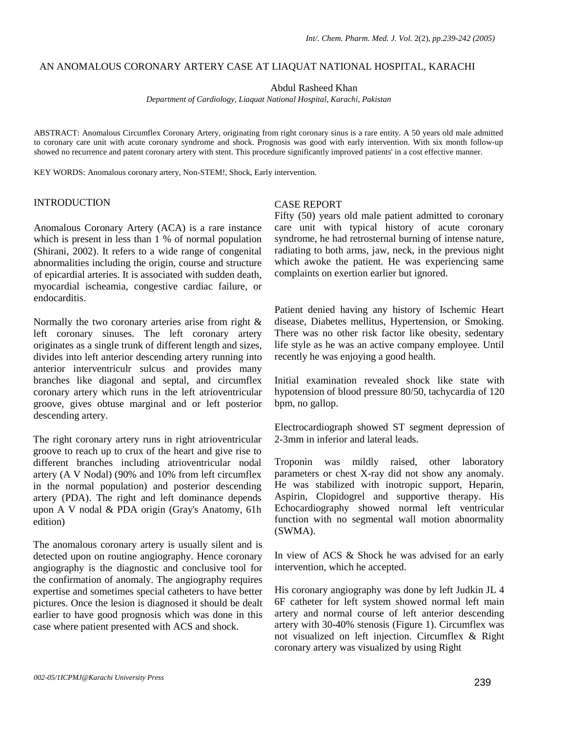## AN ANOMALOUS CORONARY ARTERY CASE AT LIAQUAT NATIONAL HOSPITAL, KARACHI

Abdul Rasheed Khan

*Department of Cardiology, Liaquat National Hospital, Karachi, Pakistan* 

ABSTRACT: Anomalous Circumflex Coronary Artery, originating from right coronary sinus is a rare entity. A 50 years old male admitted to coronary care unit with acute coronary syndrome and shock. Prognosis was good with early intervention. With six month follow-up showed no recurrence and patent coronary artery with stent. This procedure significantly improved patients' in a cost effective manner.

KEY WORDS: Anomalous coronary artery, Non-STEM!, Shock, Early intervention.

# INTRODUCTION

Anomalous Coronary Artery (ACA) is a rare instance which is present in less than 1 % of normal population (Shirani, 2002). It refers to a wide range of congenital abnormalities including the origin, course and structure of epicardial arteries. It is associated with sudden death, myocardial ischeamia, congestive cardiac failure, or endocarditis.

Normally the two coronary arteries arise from right & left coronary sinuses. The left coronary artery originates as a single trunk of different length and sizes, divides into left anterior descending artery running into anterior interventriculr sulcus and provides many branches like diagonal and septal, and circumflex coronary artery which runs in the left atrioventricular groove, gives obtuse marginal and or left posterior descending artery.

The right coronary artery runs in right atrioventricular groove to reach up to crux of the heart and give rise to different branches including atrioventricular nodal artery (A V Nodal) (90% and 10% from left circumflex in the normal population) and posterior descending artery (PDA). The right and left dominance depends upon A V nodal & PDA origin (Gray's Anatomy, 61h edition)

The anomalous coronary artery is usually silent and is detected upon on routine angiography. Hence coronary angiography is the diagnostic and conclusive tool for the confirmation of anomaly. The angiography requires expertise and sometimes special catheters to have better pictures. Once the lesion is diagnosed it should be dealt earlier to have good prognosis which was done in this case where patient presented with ACS and shock.

## CASE REPORT

Fifty (50) years old male patient admitted to coronary care unit with typical history of acute coronary syndrome, he had retrosternal burning of intense nature, radiating to both arms, jaw, neck, in the previous night which awoke the patient. He was experiencing same complaints on exertion earlier but ignored.

Patient denied having any history of Ischemic Heart disease, Diabetes mellitus, Hypertension, or Smoking. There was no other risk factor like obesity, sedentary life style as he was an active company employee. Until recently he was enjoying a good health.

Initial examination revealed shock like state with hypotension of blood pressure 80/50, tachycardia of 120 bpm, no gallop.

Electrocardiograph showed ST segment depression of 2-3mm in inferior and lateral leads.

Troponin was mildly raised, other laboratory parameters or chest X-ray did not show any anomaly. He was stabilized with inotropic support, Heparin, Aspirin, Clopidogrel and supportive therapy. His Echocardiography showed normal left ventricular function with no segmental wall motion abnormality (SWMA).

In view of ACS & Shock he was advised for an early intervention, which he accepted.

His coronary angiography was done by left Judkin JL 4 6F catheter for left system showed normal left main artery and normal course of left anterior descending artery with 30-40% stenosis (Figure 1). Circumflex was not visualized on left injection. Circumflex & Right coronary artery was visualized by using Right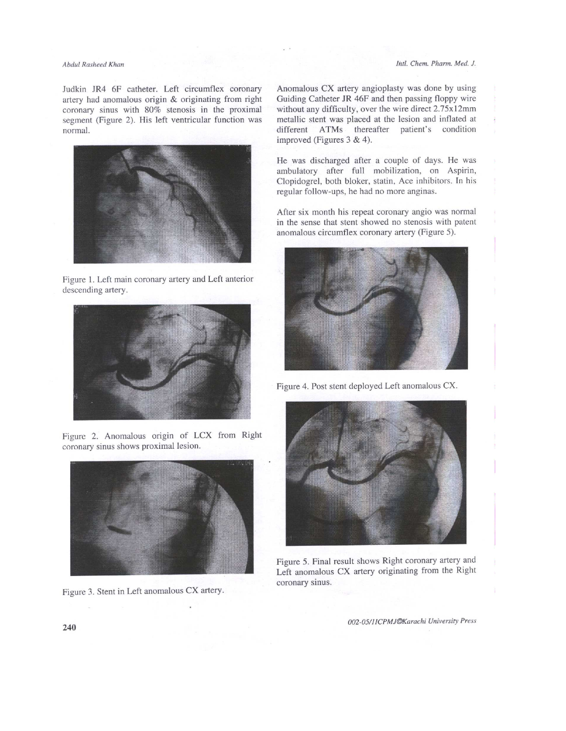#### Intl. Chem. Pharm. Med. J.

### Abdul Rasheed Khan

Judkin JR4 6F catheter. Left circumflex coronary artery had anomalous origin & originating from right coronary sinus with 80% stenosis in the proximal segment (Figure 2). His left ventricular function was normal.



Figure 1. Left main coronary artery and Left anterior descending artery.



Figure 2. Anomalous origin of LCX from Right coronary sinus shows proximal lesion.



Figure 3. Stent in Left anomalous CX artery.

Anomalous CX artery angioplasty was done by using Guiding Catheter JR 46F and then passing floppy wire without any difficulty, over the wire direct 2.75x12mm metallic stent was placed at the lesion and inflated at different ATMs thereafter patient's condition improved (Figures 3 & 4).

He was discharged after a couple of days. He was ambulatory after full mobilization, on Aspirin, Clopidogrel, both bloker, statin, Ace inhibitors. In his regular follow-ups, he had no more anginas.

After six month his repeat coronary angio was normal in the sense that stent showed no stenosis with patent anomalous circumflex coronary artery (Figure 5).



Figure 4. Post stent deployed Left anomalous CX.



Figure 5. Final result shows Right coronary artery and Left anomalous CX artery originating from the Right coronary sinus.

002-05/11CPMJ©Karachi University Press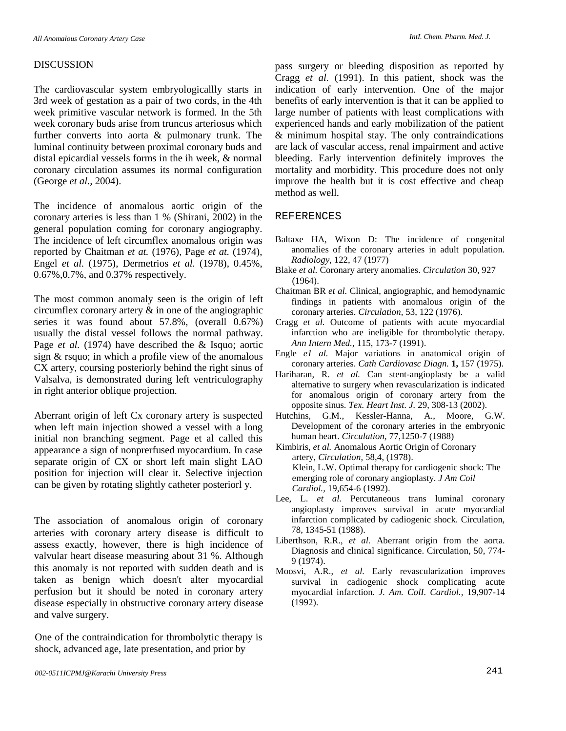### DISCUSSION

The cardiovascular system embryologicallly starts in 3rd week of gestation as a pair of two cords, in the 4th week primitive vascular network is formed. In the 5th week coronary buds arise from truncus arteriosus which further converts into aorta & pulmonary trunk. The luminal continuity between proximal coronary buds and distal epicardial vessels forms in the ih week, & normal coronary circulation assumes its normal configuration (George *et al.,* 2004).

The incidence of anomalous aortic origin of the coronary arteries is less than 1 % (Shirani, 2002) in the general population coming for coronary angiography. The incidence of left circumflex anomalous origin was reported by Chaitman *et at.* (1976), Page *et at.* (1974), Engel *et al.* (1975), Dermetrios *et al.* (1978), 0.45%, 0.67%,0.7%, and 0.37% respectively.

The most common anomaly seen is the origin of left circumflex coronary artery & in one of the angiographic series it was found about 57.8%, (overall 0.67%) usually the distal vessel follows the normal pathway. Page *et al.* (1974) have described the & Isquo; aortic sign & rsquo; in which a profile view of the anomalous CX artery, coursing posteriorly behind the right sinus of Valsalva, is demonstrated during left ventriculography in right anterior oblique projection.

Aberrant origin of left Cx coronary artery is suspected when left main injection showed a vessel with a long initial non branching segment. Page et al called this appearance a sign of nonprerfused myocardium. In case separate origin of CX or short left main slight LAO position for injection will clear it. Selective injection can be given by rotating slightly catheter posteriorl y.

The association of anomalous origin of coronary arteries with coronary artery disease is difficult to assess exactly, however, there is high incidence of valvular heart disease measuring about 31 %. Although this anomaly is not reported with sudden death and is taken as benign which doesn't alter myocardial perfusion but it should be noted in coronary artery disease especially in obstructive coronary artery disease and valve surgery.

One of the contraindication for thrombolytic therapy is shock, advanced age, late presentation, and prior by

pass surgery or bleeding disposition as reported by Cragg *et al.* (1991). In this patient, shock was the indication of early intervention. One of the major benefits of early intervention is that it can be applied to large number of patients with least complications with experienced hands and early mobilization of the patient & minimum hospital stay. The only contraindications are lack of vascular access, renal impairment and active bleeding. Early intervention definitely improves the mortality and morbidity. This procedure does not only improve the health but it is cost effective and cheap method as well.

### REFERENCES

- Baltaxe HA, Wixon D: The incidence of congenital anomalies of the coronary arteries in adult population. *Radiology,* 122, 47 (1977)
- Blake *et al.* Coronary artery anomalies. *Circulation* 30, 927 (1964).
- Chaitman BR *et al.* Clinical, angiographic, and hemodynamic findings in patients with anomalous origin of the coronary arteries. *Circulation,* 53, 122 (1976).
- Cragg *et al.* Outcome of patients with acute myocardial infarction who are ineligible for thrombolytic therapy. *Ann Intern Med.,* 115, 173-7 (1991).
- Engle *e1 al.* Major variations in anatomical origin of coronary arteries. *Cath Cardiovasc Diagn.* **1,** 157 (1975).
- Hariharan, R. *et al.* Can stent-angioplasty be a valid alternative to surgery when revascularization is indicated for anomalous origin of coronary artery from the opposite sinus. *Tex. Heart Inst. J.* 29, 308-13 (2002).
- Hutchins, G.M., Kessler-Hanna, A., Moore, G.W. Development of the coronary arteries in the embryonic human heart. *Circulation,* 77,1250-7 (1988)
- Kimbiris, *et al.* Anomalous Aortic Origin of Coronary artery, *Circulation,* 58,4, (1978). Klein, L.W. Optimal therapy for cardiogenic shock: The emerging role of coronary angioplasty. *J Am Coil Cardiol.,* 19,654-6 (1992).
- Lee, L. *et al.* Percutaneous trans luminal coronary angioplasty improves survival in acute myocardial infarction complicated by cadiogenic shock. Circulation, 78, 1345-51 (1988).
- Liberthson, R.R., *et al.* Aberrant origin from the aorta. Diagnosis and clinical significance. Circulation, 50, 774- 9 (1974).
- Moosvi, A.R., *et al.* Early revascularization improves survival in cadiogenic shock complicating acute myocardial infarction. *J. Am. ColI. Cardiol.,* 19,907-14 (1992).